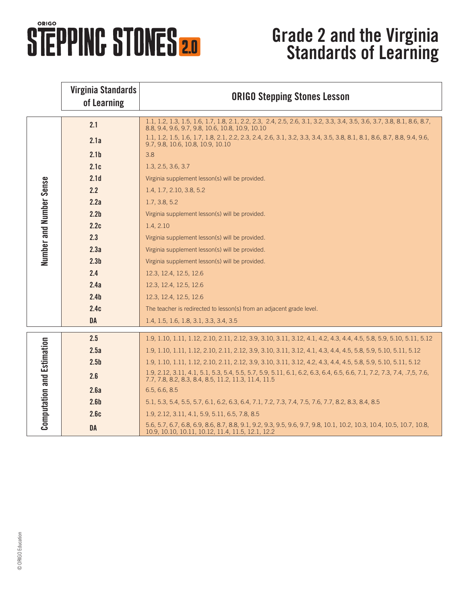## **STEPPINC STONES 2.0**

## **Grade 2 and the Virginia Standards of Learning**

|                                   | <b>Virginia Standards</b><br>of Learning | <b>ORIGO Stepping Stones Lesson</b>                                                                                                                                            |
|-----------------------------------|------------------------------------------|--------------------------------------------------------------------------------------------------------------------------------------------------------------------------------|
| Number and Number Sense           | 2.1                                      | 1.1, 1.2, 1.3, 1.5, 1.6, 1.7, 1.8, 2.1, 2.2, 2.3, 2.4, 2.5, 2.6, 3.1, 3.2, 3.3, 3.4, 3.5, 3.6, 3.7, 3.8, 8.1, 8.6, 8.7,<br>8.8, 9.4, 9.6, 9.7, 9.8, 10.6, 10.8, 10.9, 10.10    |
|                                   | 2.1a                                     | 1.1, 1.2, 1.5, 1.6, 1.7, 1.8, 2.1, 2.2, 2.3, 2.4, 2.6, 3.1, 3.2, 3.3, 3.4, 3.5, 3.8, 8.1, 8.1, 8.6, 8.7, 8.8, 9.4, 9.6,<br>9.7, 9.8, 10.6, 10.8, 10.9, 10.10                   |
|                                   | 2.1 <sub>b</sub>                         | 3.8                                                                                                                                                                            |
|                                   | 2.1c                                     | 1.3, 2.5, 3.6, 3.7                                                                                                                                                             |
|                                   | 2.1 <sub>d</sub>                         | Virginia supplement lesson(s) will be provided.                                                                                                                                |
|                                   | 2.2                                      | 1.4, 1.7, 2.10, 3.8, 5.2                                                                                                                                                       |
|                                   | 2.2a                                     | 1.7, 3.8, 5.2                                                                                                                                                                  |
|                                   | 2.2 <sub>b</sub>                         | Virginia supplement lesson(s) will be provided.                                                                                                                                |
|                                   | 2.2c                                     | 1.4, 2.10                                                                                                                                                                      |
|                                   | 2.3                                      | Virginia supplement lesson(s) will be provided.                                                                                                                                |
|                                   | 2.3a                                     | Virginia supplement lesson(s) will be provided.                                                                                                                                |
|                                   | 2.3 <sub>b</sub>                         | Virginia supplement lesson(s) will be provided.                                                                                                                                |
|                                   | 2.4                                      | 12.3, 12.4, 12.5, 12.6                                                                                                                                                         |
|                                   | 2.4a                                     | 12.3, 12.4, 12.5, 12.6                                                                                                                                                         |
|                                   | 2.4 <sub>b</sub>                         | 12.3, 12.4, 12.5, 12.6                                                                                                                                                         |
|                                   | 2.4c                                     | The teacher is redirected to lesson(s) from an adjacent grade level.                                                                                                           |
|                                   | <b>DA</b>                                | 1.4, 1.5, 1.6, 1.8, 3.1, 3.3, 3.4, 3.5                                                                                                                                         |
| <b>Computation and Estimation</b> | 2.5                                      | 1.9, 1.10, 1.11, 1.12, 2.10, 2.11, 2.12, 3.9, 3.10, 3.11, 3.12, 4.1, 4.2, 4.3, 4.4, 4.5, 5.8, 5.9, 5.10, 5.11, 5.12                                                            |
|                                   | 2.5a                                     | 1.9, 1.10, 1.11, 1.12, 2.10, 2.11, 2.12, 3.9, 3.10, 3.11, 3.12, 4.1, 4.3, 4.4, 4.5, 5.8, 5.9, 5.10, 5.11, 5.12                                                                 |
|                                   | 2.5 <sub>b</sub>                         | 1.9, 1.10, 1.11, 1.12, 2.10, 2.11, 2.12, 3.9, 3.10, 3.11, 3.12, 4.2, 4.3, 4.4, 4.5, 5.8, 5.9, 5.10, 5.11, 5.12                                                                 |
|                                   | 2.6                                      | 1.9, 2.12, 3.11, 4.1, 5.1, 5.3, 5.4, 5.5, 5.7, 5.9, 5.11, 6.1, 6.2, 6.3, 6.4, 6.5, 6.6, 7.1, 7.2, 7.3, 7.4, .7,5, 7.6,<br>7.7, 7.8, 8.2, 8.3, 8.4, 8.5, 11.2, 11.3, 11.4, 11.5 |
|                                   | 2.6a                                     | 6.5, 6.6, 8.5                                                                                                                                                                  |
|                                   | 2.6 <sub>b</sub>                         | 5.1, 5.3, 5.4, 5.5, 5.7, 6.1, 6.2, 6.3, 6.4, 7.1, 7.2, 7.3, 7.4, 7.5, 7.6, 7.7, 8.2, 8.3, 8.4, 8.5                                                                             |
|                                   | 2.6c                                     | 1.9, 2.12, 3.11, 4.1, 5.9, 5.11, 6.5, 7.8, 8.5                                                                                                                                 |
|                                   | <b>DA</b>                                | 5.6, 5.7, 6.7, 6.8, 6.9, 8.6, 8.7, 8.8, 9.1, 9.2, 9.3, 9.5, 9.6, 9.7, 9.8, 10.1, 10.2, 10.3, 10.4, 10.5, 10.7, 10.8,<br>10.9, 10.10, 10.11, 10.12, 11.4, 11.5, 12.1, 12.2      |